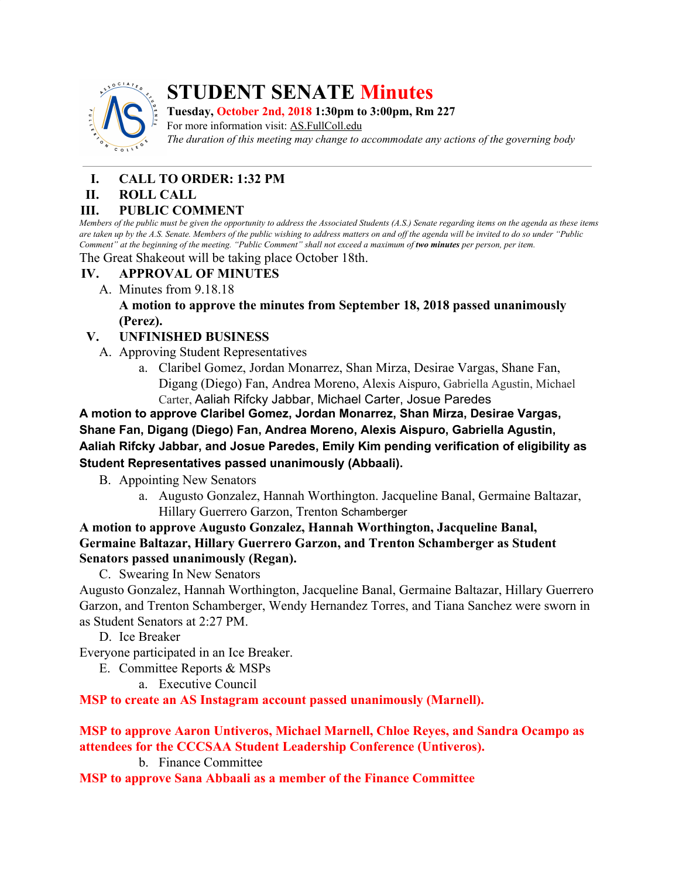

# **STUDENT SENATE Minutes**

**Tuesday, October 2nd, 2018 1:30pm to 3:00pm, Rm 227**

For more information visit: AS.FullColl.edu *The duration of this meeting may change to accommodate any actions of the governing body*

# **I. CALL TO ORDER: 1:32 PM**

## **II. ROLL CALL**

## **III. PUBLIC COMMENT**

Members of the public must be given the opportunity to address the Associated Students (A.S.) Senate regarding items on the agenda as these items are taken up by the A.S. Senate. Members of the public wishing to address matters on and off the agenda will be invited to do so under "Public Comment" at the beginning of the meeting. "Public Comment" shall not exceed a maximum of two minutes per person, per item.

The Great Shakeout will be taking place October 18th.

# **IV. APPROVAL OF MINUTES**

A. Minutes from 9.18.18

**A motion to approve the minutes from September 18, 2018 passed unanimously (Perez).**

## **V. UNFINISHED BUSINESS**

- A. Approving Student Representatives
	- a. Claribel Gomez, Jordan Monarrez, Shan Mirza, Desirae Vargas, Shane Fan, Digang (Diego) Fan, Andrea Moreno, Alexis Aispuro, Gabriella Agustin, Michael Carter, Aaliah Rifcky Jabbar, Michael Carter, Josue Paredes

**A motion to approve Claribel Gomez, Jordan Monarrez, Shan Mirza, Desirae Vargas, Shane Fan, Digang (Diego) Fan, Andrea Moreno, Alexis Aispuro, Gabriella Agustin, Aaliah Rifcky Jabbar, and Josue Paredes, Emily Kim pending verification of eligibility as Student Representatives passed unanimously (Abbaali).**

- B. Appointing New Senators
	- a. Augusto Gonzalez, Hannah Worthington. Jacqueline Banal, Germaine Baltazar, Hillary Guerrero Garzon, Trenton Schamberger

**A motion to approve Augusto Gonzalez, Hannah Worthington, Jacqueline Banal, Germaine Baltazar, Hillary Guerrero Garzon, and Trenton Schamberger as Student Senators passed unanimously (Regan).**

C. Swearing In New Senators

Augusto Gonzalez, Hannah Worthington, Jacqueline Banal, Germaine Baltazar, Hillary Guerrero Garzon, and Trenton Schamberger, Wendy Hernandez Torres, and Tiana Sanchez were sworn in as Student Senators at 2:27 PM.

D. Ice Breaker

Everyone participated in an Ice Breaker.

- E. Committee Reports & MSPs
	- a. Executive Council

**MSP to create an AS Instagram account passed unanimously (Marnell).**

#### **MSP to approve Aaron Untiveros, Michael Marnell, Chloe Reyes, and Sandra Ocampo as attendees for the CCCSAA Student Leadership Conference (Untiveros).**

b. Finance Committee

**MSP to approve Sana Abbaali as a member of the Finance Committee**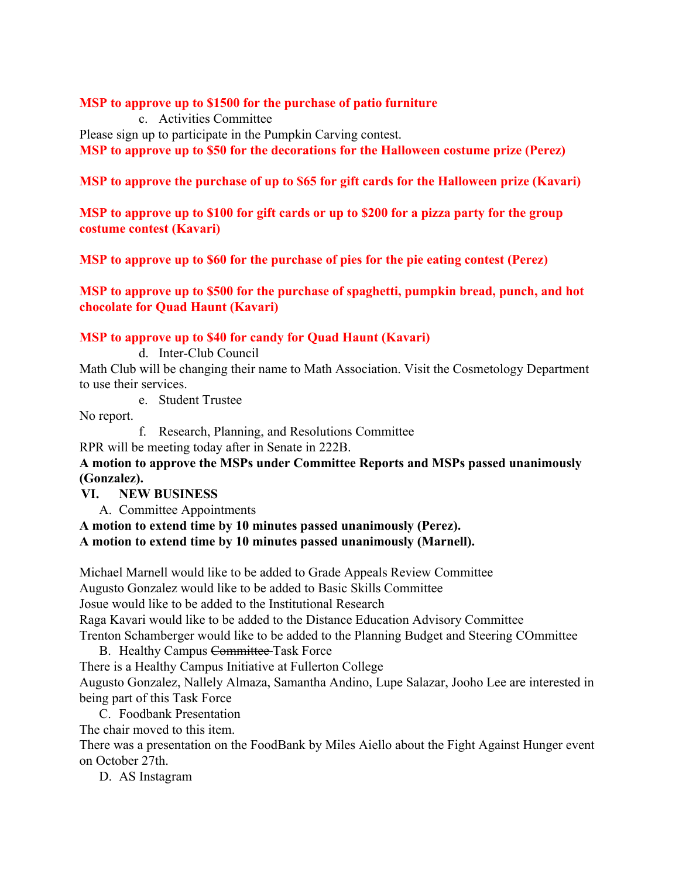#### **MSP to approve up to \$1500 for the purchase of patio furniture**

c. Activities Committee

Please sign up to participate in the Pumpkin Carving contest.

**MSP to approve up to \$50 for the decorations for the Halloween costume prize (Perez)**

## **MSP to approve the purchase of up to \$65 for gift cards for the Halloween prize (Kavari)**

**MSP to approve up to \$100 for gift cards or up to \$200 for a pizza party for the group costume contest (Kavari)**

**MSP to approve up to \$60 for the purchase of pies for the pie eating contest (Perez)**

**MSP to approve up to \$500 for the purchase of spaghetti, pumpkin bread, punch, and hot chocolate for Quad Haunt (Kavari)**

#### **MSP to approve up to \$40 for candy for Quad Haunt (Kavari)**

d. Inter-Club Council

Math Club will be changing their name to Math Association. Visit the Cosmetology Department to use their services.

e. Student Trustee

No report.

f. Research, Planning, and Resolutions Committee

RPR will be meeting today after in Senate in 222B.

**A motion to approve the MSPs under Committee Reports and MSPs passed unanimously (Gonzalez).**

#### **VI. NEW BUSINESS**

A. Committee Appointments

**A motion to extend time by 10 minutes passed unanimously (Perez). A motion to extend time by 10 minutes passed unanimously (Marnell).**

Michael Marnell would like to be added to Grade Appeals Review Committee Augusto Gonzalez would like to be added to Basic Skills Committee Josue would like to be added to the Institutional Research Raga Kavari would like to be added to the Distance Education Advisory Committee Trenton Schamberger would like to be added to the Planning Budget and Steering COmmittee

- B. Healthy Campus Committee-Task Force There is a Healthy Campus Initiative at Fullerton College Augusto Gonzalez, Nallely Almaza, Samantha Andino, Lupe Salazar, Jooho Lee are interested in being part of this Task Force
	- C. Foodbank Presentation

The chair moved to this item.

There was a presentation on the FoodBank by Miles Aiello about the Fight Against Hunger event on October 27th.

D. AS Instagram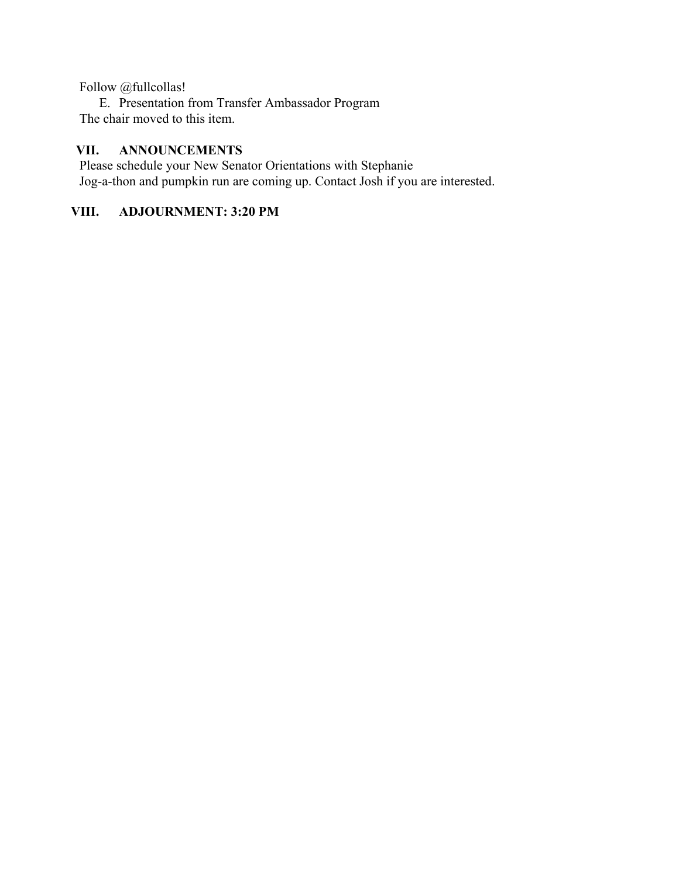Follow @fullcollas!

E. Presentation from Transfer Ambassador Program The chair moved to this item.

#### **VII. ANNOUNCEMENTS**

Please schedule your New Senator Orientations with Stephanie Jog-a-thon and pumpkin run are coming up. Contact Josh if you are interested.

# **VIII. ADJOURNMENT: 3:20 PM**